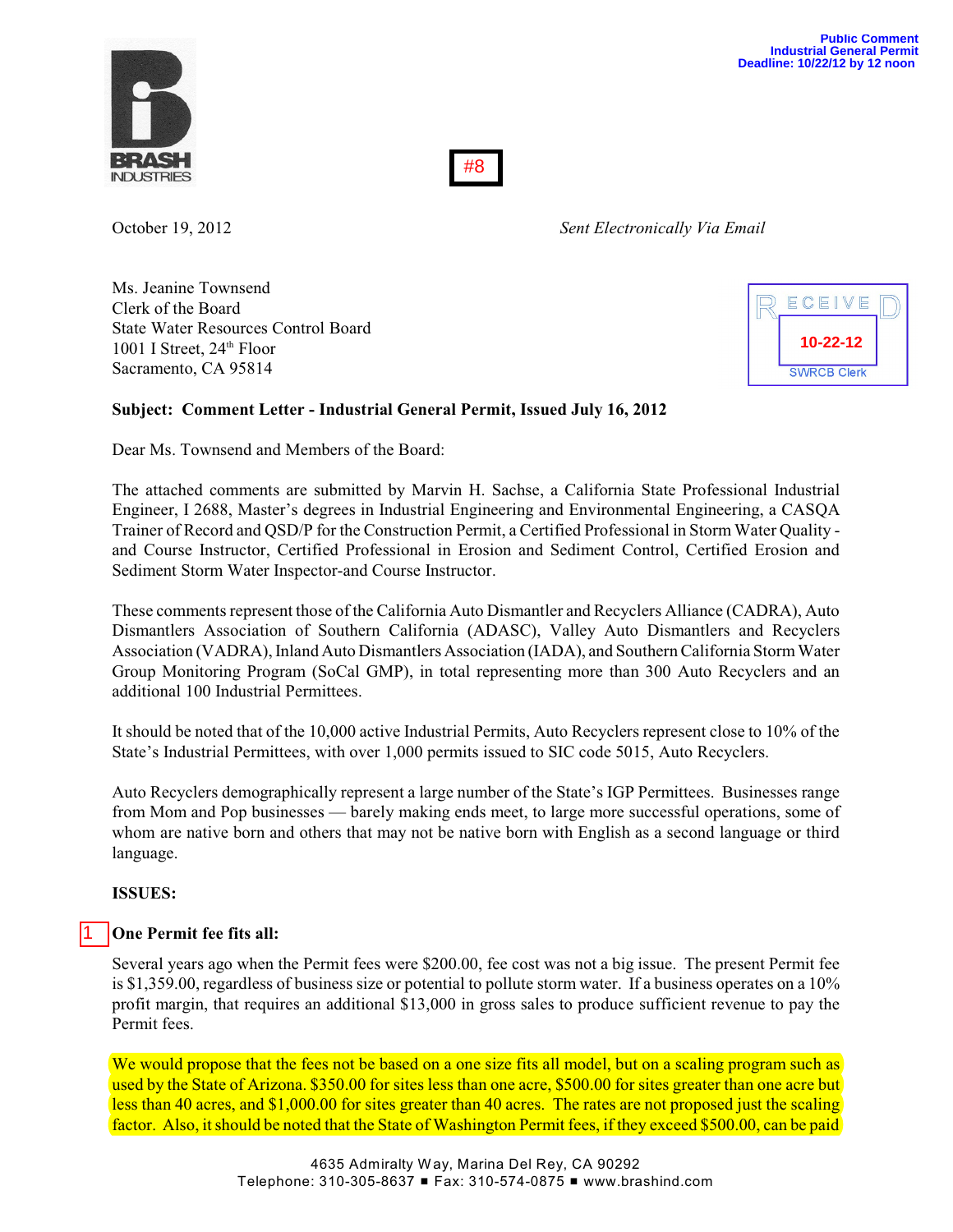#8

October 19, 2012 *Sent Electronically Via Email*

Ms. Jeanine Townsend Clerk of the Board State Water Resources Control Board 1001 I Street,  $24<sup>th</sup>$  Floor Sacramento, CA 95814



# **Subject: Comment Letter - Industrial General Permit, Issued July 16, 2012**

Dear Ms. Townsend and Members of the Board:

The attached comments are submitted by Marvin H. Sachse, a California State Professional Industrial Engineer, I 2688, Master's degrees in Industrial Engineering and Environmental Engineering, a CASQA Trainer of Record and QSD/P for the Construction Permit, a Certified Professional in Storm Water Quality and Course Instructor, Certified Professional in Erosion and Sediment Control, Certified Erosion and Sediment Storm Water Inspector-and Course Instructor.

These comments represent those of the California Auto Dismantler and Recyclers Alliance (CADRA), Auto Dismantlers Association of Southern California (ADASC), Valley Auto Dismantlers and Recyclers Association (VADRA), Inland Auto Dismantlers Association (IADA), and Southern California Storm Water Group Monitoring Program (SoCal GMP), in total representing more than 300 Auto Recyclers and an additional 100 Industrial Permittees.

It should be noted that of the 10,000 active Industrial Permits, Auto Recyclers represent close to 10% of the State's Industrial Permittees, with over 1,000 permits issued to SIC code 5015, Auto Recyclers.

Auto Recyclers demographically represent a large number of the State's IGP Permittees. Businesses range from Mom and Pop businesses — barely making ends meet, to large more successful operations, some of whom are native born and others that may not be native born with English as a second language or third language.

**ISSUES:**

1

# **One Permit fee fits all:**

Several years ago when the Permit fees were \$200.00, fee cost was not a big issue. The present Permit fee is \$1,359.00, regardless of business size or potential to pollute storm water. If a business operates on a 10% profit margin, that requires an additional \$13,000 in gross sales to produce sufficient revenue to pay the Permit fees.

We would propose that the fees not be based on a one size fits all model, but on a scaling program such as used by the State of Arizona. \$350.00 for sites less than one acre, \$500.00 for sites greater than one acre but less than 40 acres, and \$1,000.00 for sites greater than 40 acres. The rates are not proposed just the scaling factor. Also, it should be noted that the State of Washington Permit fees, if they exceed \$500.00, can be paid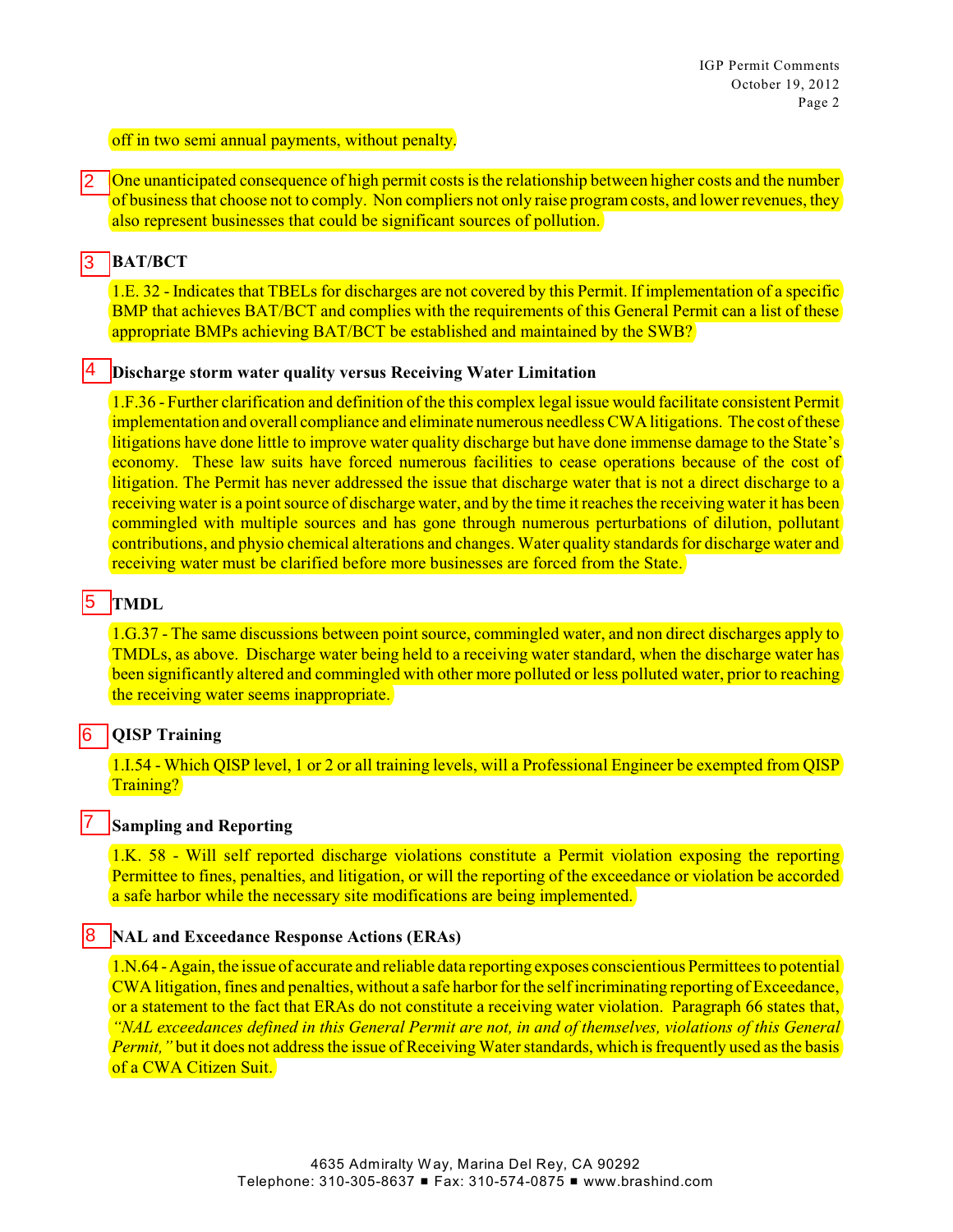### off in two semi annual payments, without penalty.

One unanticipated consequence of high permit costs is the relationship between higher costs and the number of business that choose not to comply. Non compliers not only raise program costs, and lower revenues, they also represent businesses that could be significant sources of pollution. 2

#### **BAT/BCT** 3

4

1.E. 32 - Indicates that TBELs for discharges are not covered by this Permit. If implementation of a specific BMP that achieves BAT/BCT and complies with the requirements of this General Permit can a list of these appropriate BMPs achieving BAT/BCT be established and maintained by the SWB?

### **Discharge storm water quality versus Receiving Water Limitation**

1.F.36 - Further clarification and definition of the this complex legal issue would facilitate consistent Permit implementation and overall compliance and eliminate numerous needless CWA litigations. The cost of these litigations have done little to improve water quality discharge but have done immense damage to the State's economy. These law suits have forced numerous facilities to cease operations because of the cost of litigation. The Permit has never addressed the issue that discharge water that is not a direct discharge to a receiving water is a point source of discharge water, and by the time it reaches the receiving water it has been commingled with multiple sources and has gone through numerous perturbations of dilution, pollutant contributions, and physio chemical alterations and changes. Water quality standards for discharge water and receiving water must be clarified before more businesses are forced from the State.

#### **TMDL** 5

7

1.G.37 - The same discussions between point source, commingled water, and non direct discharges apply to TMDLs, as above. Discharge water being held to a receiving water standard, when the discharge water has been significantly altered and commingled with other more polluted or less polluted water, prior to reaching the receiving water seems inappropriate.

#### **QISP Training** 6

1.I.54 - Which QISP level, 1 or 2 or all training levels, will a Professional Engineer be exempted from QISP Training?

## **Sampling and Reporting**

1.K. 58 - Will self reported discharge violations constitute a Permit violation exposing the reporting Permittee to fines, penalties, and litigation, or will the reporting of the exceedance or violation be accorded a safe harbor while the necessary site modifications are being implemented.

#### **NAL and Exceedance Response Actions (ERAs)** 8

1.N.64 -Again, the issue of accurate and reliable data reporting exposes conscientious Permittees to potential CWA litigation, fines and penalties, without a safe harbor for the self incriminating reporting of Exceedance, or a statement to the fact that ERAs do not constitute a receiving water violation. Paragraph 66 states that, *"NAL exceedances defined in this General Permit are not, in and of themselves, violations of this General Permit,"* but it does not address the issue of Receiving Water standards, which is frequently used as the basis of a CWA Citizen Suit.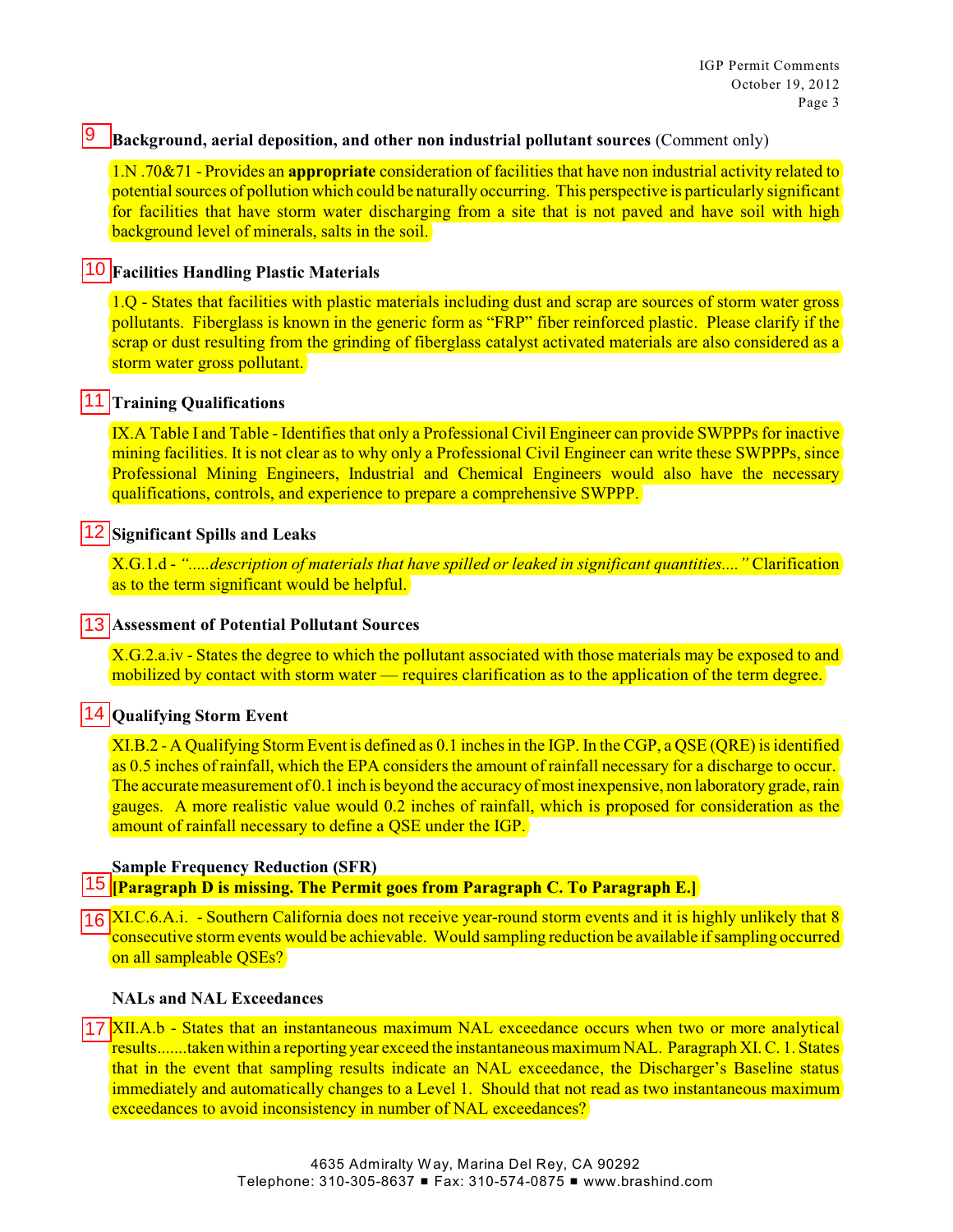#### 19 **Background, aerial deposition, and other non industrial pollutant sources** (Comment only)

1.N .70&71 - Provides an **appropriate** consideration of facilities that have non industrial activity related to potential sources of pollution which could be naturally occurring. This perspective is particularly significant for facilities that have storm water discharging from a site that is not paved and have soil with high background level of minerals, salts in the soil.

## **Facilities Handling Plastic Materials**

1.Q - States that facilities with plastic materials including dust and scrap are sources of storm water gross pollutants. Fiberglass is known in the generic form as "FRP" fiber reinforced plastic. Please clarify if the scrap or dust resulting from the grinding of fiberglass catalyst activated materials are also considered as a storm water gross pollutant.

## **11 Training Qualifications**

IX.A Table I and Table - Identifies that only a Professional Civil Engineer can provide SWPPPs for inactive mining facilities. It is not clear as to why only a Professional Civil Engineer can write these SWPPPs, since Professional Mining Engineers, Industrial and Chemical Engineers would also have the necessary qualifications, controls, and experience to prepare a comprehensive SWPPP.

# **12 Significant Spills and Leaks**

X.G.1.d - *".....description of materials that have spilled or leaked in significant quantities...."* Clarification as to the term significant would be helpful.

## **Assessment of Potential Pollutant Sources**

X.G.2.a.iv - States the degree to which the pollutant associated with those materials may be exposed to and mobilized by contact with storm water — requires clarification as to the application of the term degree.

# **14 Oualifying Storm Event**

XI.B.2 - A Qualifying Storm Event is defined as 0.1 inches in the IGP. In the CGP, a QSE (QRE) is identified as 0.5 inches of rainfall, which the EPA considers the amount of rainfall necessary for a discharge to occur. The accurate measurement of  $0.1$  inch is beyond the accuracy of most inexpensive, non laboratory grade, rain gauges. A more realistic value would 0.2 inches of rainfall, which is proposed for consideration as the amount of rainfall necessary to define a QSE under the IGP.

### **Sample Frequency Reduction (SFR)**

**[Paragraph D is missing. The Permit goes from Paragraph C. To Paragraph E.]**

XI.C.6.A.i. - Southern California does not receive year-round storm events and it is highly unlikely that 8 consecutive storm events would be achievable. Would sampling reduction be available ifsampling occurred on all sampleable QSEs? 10<br>
11<br>
11<br>
11<br>
11<br>
11<br>
11<br>
11<br>
11<br>
16

### **NALs and NAL Exceedances**

17 XII.A.b - States that an instantaneous maximum NAL exceedance occurs when two or more analytical results.......taken within a reporting year exceed the instantaneous maximumNAL. Paragraph XI. C. 1. States that in the event that sampling results indicate an NAL exceedance, the Discharger's Baseline status immediately and automatically changes to a Level 1. Should that not read as two instantaneous maximum exceedances to avoid inconsistency in number of NAL exceedances?